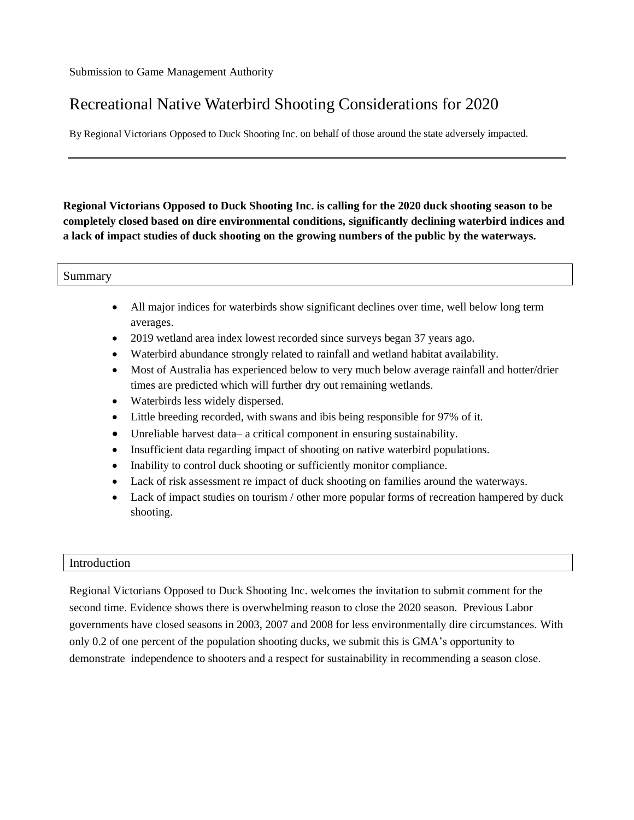# Recreational Native Waterbird Shooting Considerations for 2020

By Regional Victorians Opposed to Duck Shooting Inc. on behalf of those around the state adversely impacted.

**Regional Victorians Opposed to Duck Shooting Inc. is calling for the 2020 duck shooting season to be completely closed based on dire environmental conditions, significantly declining waterbird indices and a lack of impact studies of duck shooting on the growing numbers of the public by the waterways.**

| $\sim$     |  |
|------------|--|
| mmarv<br>້ |  |

- All major indices for waterbirds show significant declines over time, well below long term averages.
- 2019 wetland area index lowest recorded since surveys began 37 years ago.
- Waterbird abundance strongly related to rainfall and wetland habitat availability.
- Most of Australia has experienced below to very much below average rainfall and hotter/drier times are predicted which will further dry out remaining wetlands.
- Waterbirds less widely dispersed.
- Little breeding recorded, with swans and ibis being responsible for 97% of it.
- Unreliable harvest data– a critical component in ensuring sustainability.
- Insufficient data regarding impact of shooting on native waterbird populations.
- Inability to control duck shooting or sufficiently monitor compliance.
- Lack of risk assessment re impact of duck shooting on families around the waterways.
- Lack of impact studies on tourism / other more popular forms of recreation hampered by duck shooting.

## Introduction

Regional Victorians Opposed to Duck Shooting Inc. welcomes the invitation to submit comment for the second time. Evidence shows there is overwhelming reason to close the 2020 season. Previous Labor governments have closed seasons in 2003, 2007 and 2008 for less environmentally dire circumstances. With only 0.2 of one percent of the population shooting ducks, we submit this is GMA's opportunity to demonstrate independence to shooters and a respect for sustainability in recommending a season close.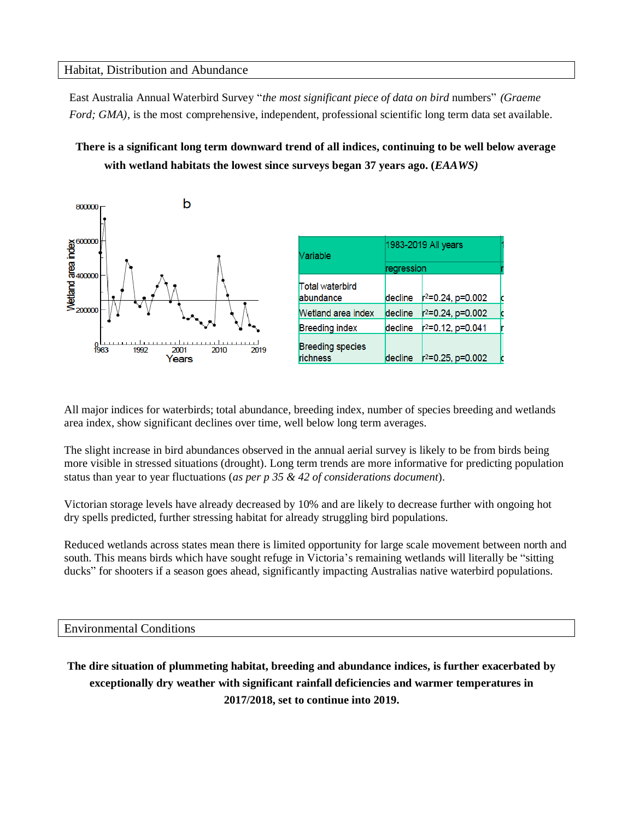#### Habitat, Distribution and Abundance

East Australia Annual Waterbird Survey "*the most significant piece of data on bird* numbers" *(Graeme Ford; GMA)*, is the most comprehensive, independent, professional scientific long term data set available.

## **There is a significant long term downward trend of all indices, continuing to be well below average with wetland habitats the lowest since surveys began 37 years ago. (***EAAWS)*



| Variable                            | 1983-2019 All years |                               |   |
|-------------------------------------|---------------------|-------------------------------|---|
|                                     | regression          |                               |   |
| Total waterbird<br>abundance        | decline             | $r^2 = 0.24$ , p=0.002        | c |
| Wetland area index                  | decline             | $r^2 = 0.24$ , p=0.002        | c |
| <b>Breeding index</b>               | decline             | $r^2$ =0.12, p=0.041          |   |
| <b>Breeding species</b><br>richness | decline             | r <sup>2</sup> =0.25, p=0.002 |   |

All major indices for waterbirds; total abundance, breeding index, number of species breeding and wetlands area index, show significant declines over time, well below long term averages.

The slight increase in bird abundances observed in the annual aerial survey is likely to be from birds being more visible in stressed situations (drought). Long term trends are more informative for predicting population status than year to year fluctuations (*as per p 35 & 42 of considerations document*).

Victorian storage levels have already decreased by 10% and are likely to decrease further with ongoing hot dry spells predicted, further stressing habitat for already struggling bird populations.

Reduced wetlands across states mean there is limited opportunity for large scale movement between north and south. This means birds which have sought refuge in Victoria's remaining wetlands will literally be "sitting ducks" for shooters if a season goes ahead, significantly impacting Australias native waterbird populations.

#### Environmental Conditions

**The dire situation of plummeting habitat, breeding and abundance indices, is further exacerbated by exceptionally dry weather with significant rainfall deficiencies and warmer temperatures in 2017/2018, set to continue into 2019.**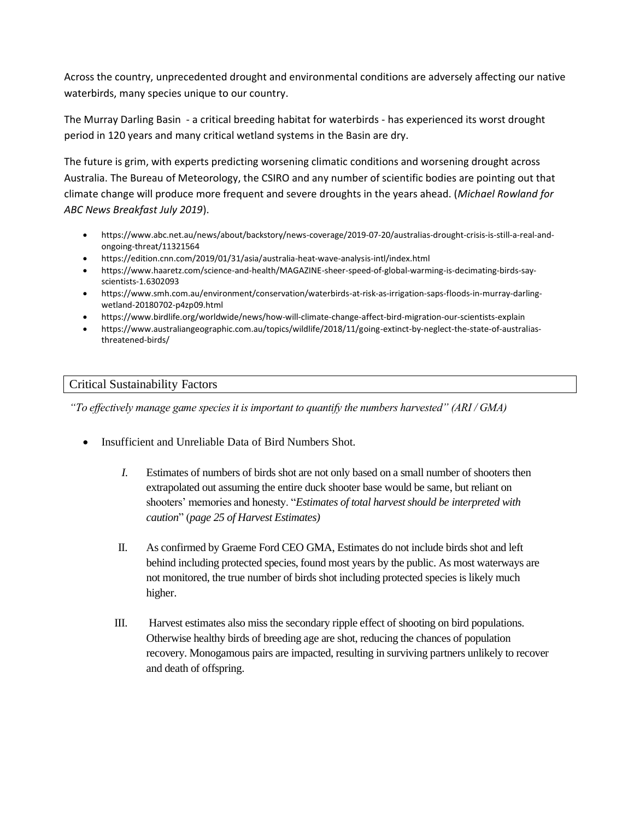Across the country, unprecedented drought and environmental conditions are adversely affecting our native waterbirds, many species unique to our country.

The Murray Darling Basin - a critical breeding habitat for waterbirds - has experienced its worst drought period in 120 years and many critical wetland systems in the Basin are dry.

The future is grim, with experts predicting worsening climatic conditions and worsening drought across Australia. The Bureau of Meteorology, the CSIRO and any number of scientific bodies are pointing out that climate change will produce more frequent and severe droughts in the years ahead. (*Michael Rowland for ABC News Breakfast July 2019*).

- https://www.abc.net.au/news/about/backstory/news-coverage/2019-07-20/australias-drought-crisis-is-still-a-real-andongoing-threat/11321564
- <https://edition.cnn.com/2019/01/31/asia/australia-heat-wave-analysis-intl/index.html>
- [https://www.haaretz.com/science-and-health/MAGAZINE-sheer-speed-of-global-warming-is-decimating-birds-say](https://www.haaretz.com/science-and-health/MAGAZINE-sheer-speed-of-global-warming-is-decimating-birds-say-scientists-1.6302093)[scientists-1.6302093](https://www.haaretz.com/science-and-health/MAGAZINE-sheer-speed-of-global-warming-is-decimating-birds-say-scientists-1.6302093)
- [https://www.smh.com.au/environment/conservation/waterbirds-at-risk-as-irrigation-saps-floods-in-murray-darling](https://www.smh.com.au/environment/conservation/waterbirds-at-risk-as-irrigation-saps-floods-in-murray-darling-wetland-20180702-p4zp09.html)[wetland-20180702-p4zp09.html](https://www.smh.com.au/environment/conservation/waterbirds-at-risk-as-irrigation-saps-floods-in-murray-darling-wetland-20180702-p4zp09.html)
- <https://www.birdlife.org/worldwide/news/how-will-climate-change-affect-bird-migration-our-scientists-explain>
- [https://www.australiangeographic.com.au/topics/wildlife/2018/11/going-extinct-by-neglect-the-state-of-australias](https://www.australiangeographic.com.au/topics/wildlife/2018/11/going-extinct-by-neglect-the-state-of-australias-threatened-birds/)[threatened-birds/](https://www.australiangeographic.com.au/topics/wildlife/2018/11/going-extinct-by-neglect-the-state-of-australias-threatened-birds/)

## Critical Sustainability Factors

*"To effectively manage game species it is important to quantify the numbers harvested" (ARI / GMA)*

- Insufficient and Unreliable Data of Bird Numbers Shot.
	- *I.* Estimates of numbers of birds shot are not only based on a small number of shooters then extrapolated out assuming the entire duck shooter base would be same, but reliant on shooters' memories and honesty. "*Estimates of total harvest should be interpreted with caution*" (*page 25 of Harvest Estimates)*
	- II. As confirmed by Graeme Ford CEO GMA, Estimates do not include birds shot and left behind including protected species, found most years by the public. As most waterways are not monitored, the true number of birds shot including protected species is likely much higher.
	- III. Harvest estimates also miss the secondary ripple effect of shooting on bird populations. Otherwise healthy birds of breeding age are shot, reducing the chances of population recovery. Monogamous pairs are impacted, resulting in surviving partners unlikely to recover and death of offspring.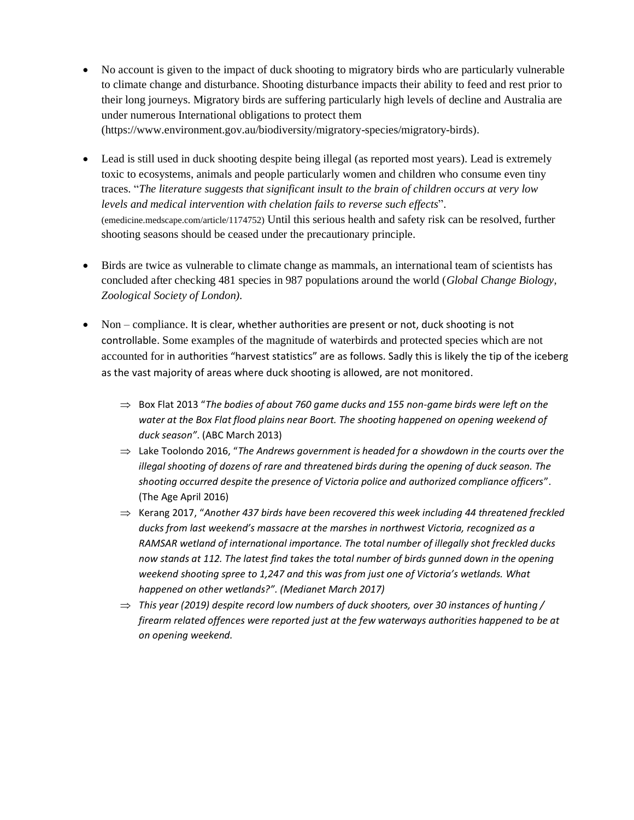- No account is given to the impact of duck shooting to migratory birds who are particularly vulnerable to climate change and disturbance. Shooting disturbance impacts their ability to feed and rest prior to their long journeys. Migratory birds are suffering particularly high levels of decline and Australia are under numerous International obligations to protect them [\(https://www.environment.gov.au/biodiversity/migratory-species/migratory-birds\)](https://www.environment.gov.au/biodiversity/migratory-species/migratory-birds).
- Lead is still used in duck shooting despite being illegal (as reported most years). Lead is extremely toxic to ecosystems, animals and people particularly women and children who consume even tiny traces. "*The literature suggests that significant insult to the brain of children occurs at very low levels and medical intervention with chelation fails to reverse such effects*". (emedicine.medscape.com/article/1174752) Until this serious health and safety risk can be resolved, further shooting seasons should be ceased under the precautionary principle.
- Birds are twice as vulnerable to climate change as mammals, an international team of scientists has concluded after checking 481 species in 987 populations around the world (*Global Change Biology, Zoological Society of London).*
- Non compliance. It is clear, whether authorities are present or not, duck shooting is not controllable. Some examples of the magnitude of waterbirds and protected species which are not accounted for in authorities "harvest statistics" are as follows. Sadly this is likely the tip of the iceberg as the vast majority of areas where duck shooting is allowed, are not monitored.
	- $\Rightarrow$  Box Flat 2013 "The bodies of about 760 game ducks and 155 non-game birds were left on the water at the Box Flat flood plains near Boort. The shooting happened on opening weekend of *duck season"*. (ABC March 2013)
	- Lake Toolondo 2016, "*The Andrews government is headed for a showdown in the courts over the illegal shooting of dozens of rare and threatened birds during the opening of duck season. The shooting occurred despite the presence of Victoria police and authorized compliance officers*". (The Age April 2016)
	- $\Rightarrow$  Kerang 2017, "Another 437 birds have been recovered this week including 44 threatened freckled *ducks from last weekend's massacre at the marshes in northwest Victoria, recognized as a RAMSAR wetland of international importance. The total number of illegally shot freckled ducks now stands at 112. The latest find takes the total number of birds gunned down in the opening weekend shooting spree to 1,247 and this was from just one of Victoria's wetlands. What happened on other wetlands?". (Medianet March 2017)*
	- $\Rightarrow$  This year (2019) despite record low numbers of duck shooters, over 30 instances of hunting / *firearm related offences were reported just at the few waterways authorities happened to be at on opening weekend.*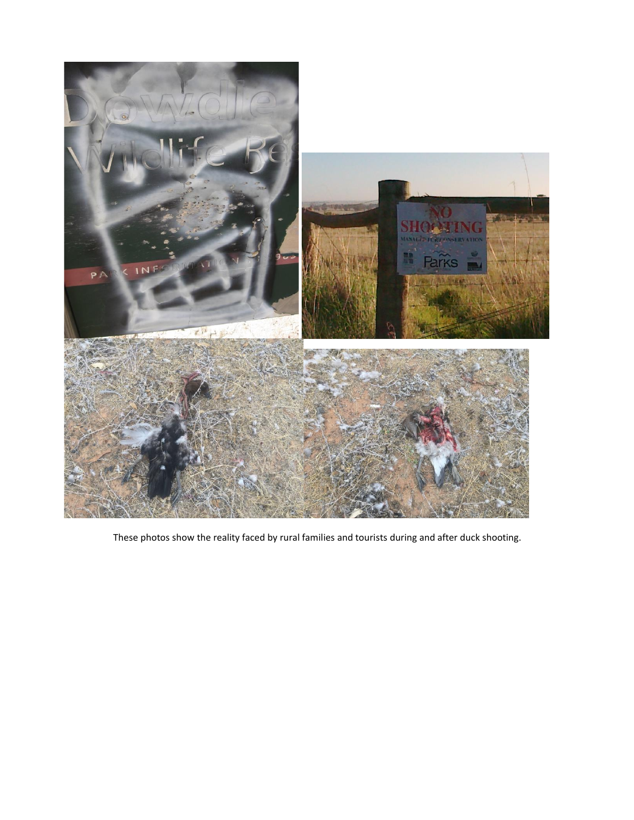

These photos show the reality faced by rural families and tourists during and after duck shooting.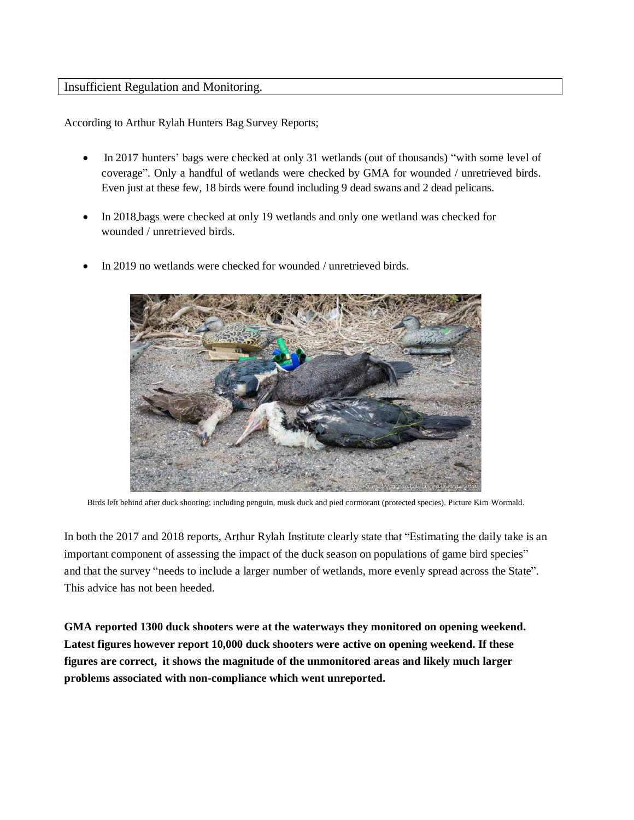#### Insufficient Regulation and Monitoring.

According to Arthur Rylah Hunters Bag Survey Reports;

- In 2017 hunters' bags were checked at only 31 wetlands (out of thousands) "with some level of coverage". Only a handful of wetlands were checked by GMA for wounded / unretrieved birds. Even just at these few, 18 birds were found including 9 dead swans and 2 dead pelicans.
- In 2018 bags were checked at only 19 wetlands and only one wetland was checked for wounded / unretrieved birds.
- In 2019 no wetlands were checked for wounded / unretrieved birds.



Birds left behind after duck shooting; including penguin, musk duck and pied cormorant (protected species). Picture Kim Wormald.

In both the 2017 and 2018 reports, Arthur Rylah Institute clearly state that "Estimating the daily take is an important component of assessing the impact of the duck season on populations of game bird species" and that the survey "needs to include a larger number of wetlands, more evenly spread across the State". This advice has not been heeded.

**GMA reported 1300 duck shooters were at the waterways they monitored on opening weekend. Latest figures however report 10,000 duck shooters were active on opening weekend. If these figures are correct, it shows the magnitude of the unmonitored areas and likely much larger problems associated with non-compliance which went unreported.**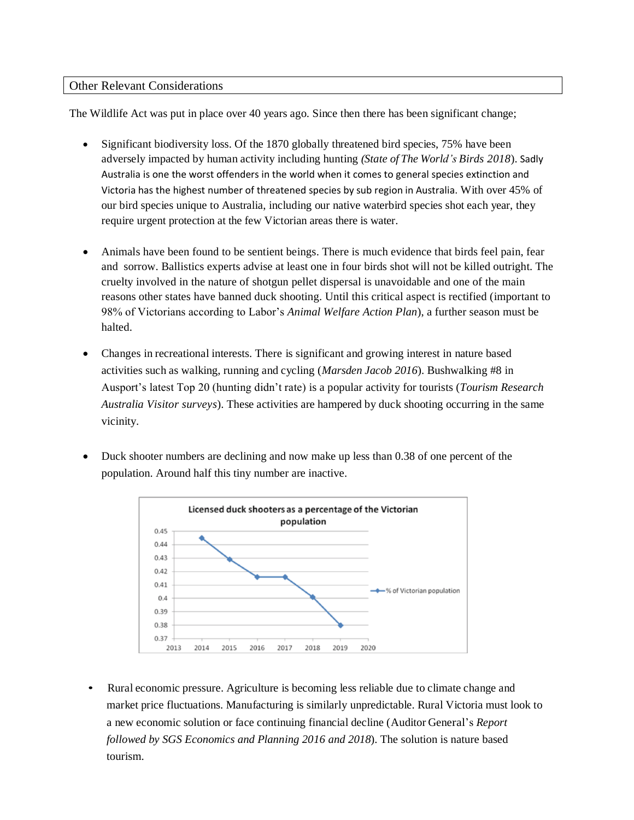### Other Relevant Considerations

The Wildlife Act was put in place over 40 years ago. Since then there has been significant change;

- Significant biodiversity loss. Of the 1870 globally threatened bird species, 75% have been adversely impacted by human activity including hunting *(State of The World's Birds 2018*). Sadly Australia is one the worst offenders in the world when it comes to general species extinction and Victoria has the highest number of threatened species by sub region in Australia. With over 45% of our bird species unique to Australia, including our native waterbird species shot each year, they require urgent protection at the few Victorian areas there is water.
- Animals have been found to be sentient beings. There is much evidence that birds feel pain, fear and sorrow. Ballistics experts advise at least one in four birds shot will not be killed outright. The cruelty involved in the nature of shotgun pellet dispersal is unavoidable and one of the main reasons other states have banned duck shooting. Until this critical aspect is rectified (important to 98% of Victorians according to Labor's *Animal Welfare Action Plan*), a further season must be halted.
- Changes in recreational interests. There is significant and growing interest in nature based activities such as walking, running and cycling (*Marsden Jacob 2016*). Bushwalking #8 in Ausport's latest Top 20 (hunting didn't rate) is a popular activity for tourists (*Tourism Research Australia Visitor surveys*). These activities are hampered by duck shooting occurring in the same vicinity.
- Duck shooter numbers are declining and now make up less than 0.38 of one percent of the population. Around half this tiny number are inactive.



• Rural economic pressure. Agriculture is becoming less reliable due to climate change and market price fluctuations. Manufacturing is similarly unpredictable. Rural Victoria must look to a new economic solution or face continuing financial decline (Auditor General's *Report followed by SGS Economics and Planning 2016 and 2018*). The solution is nature based tourism.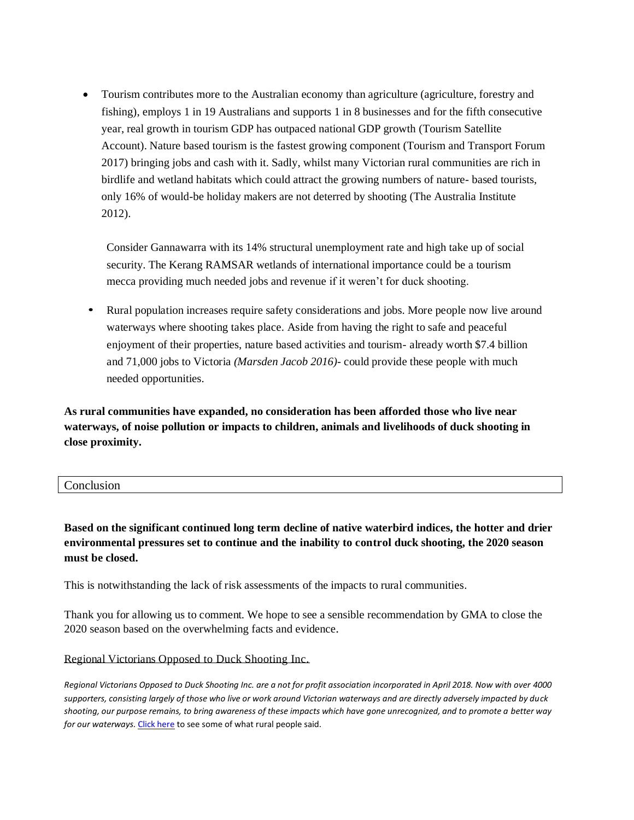• Tourism contributes more to the Australian economy than agriculture (agriculture, forestry and fishing), employs 1 in 19 Australians and supports 1 in 8 businesses and for the fifth consecutive year, real growth in tourism GDP has outpaced national GDP growth (Tourism Satellite Account). Nature based tourism is the fastest growing component (Tourism and Transport Forum 2017) bringing jobs and cash with it. Sadly, whilst many Victorian rural communities are rich in birdlife and wetland habitats which could attract the growing numbers of nature- based tourists, only 16% of would-be holiday makers are not deterred by shooting (The Australia Institute 2012).

Consider Gannawarra with its 14% structural unemployment rate and high take up of social security. The Kerang RAMSAR wetlands of international importance could be a tourism mecca providing much needed jobs and revenue if it weren't for duck shooting.

• Rural population increases require safety considerations and jobs. More people now live around waterways where shooting takes place. Aside from having the right to safe and peaceful enjoyment of their properties, nature based activities and tourism- already worth \$7.4 billion and 71,000 jobs to Victoria *(Marsden Jacob 2016)-* could provide these people with much needed opportunities.

**As rural communities have expanded, no consideration has been afforded those who live near waterways, of noise pollution or impacts to children, animals and livelihoods of duck shooting in close proximity.**

| Conclusion |  |
|------------|--|
|            |  |

**Based on the significant continued long term decline of native waterbird indices, the hotter and drier environmental pressures set to continue and the inability to control duck shooting, the 2020 season must be closed.**

This is notwithstanding the lack of risk assessments of the impacts to rural communities.

Thank you for allowing us to comment. We hope to see a sensible recommendation by GMA to close the 2020 season based on the overwhelming facts and evidence.

#### Regional Victorians Opposed to Duck Shooting Inc.

*Regional Victorians Opposed to Duck Shooting Inc. are a not for profit association incorporated in April 2018. Now with over 4000 supporters, consisting largely of those who live or work around Victorian waterways and are directly adversely impacted by duck shooting, our purpose remains, to bring awareness of these impacts which have gone unrecognized, and to promote a better way for our waterways.* [Click here](https://vimeo.com/305921898) to see some of what rural people said.